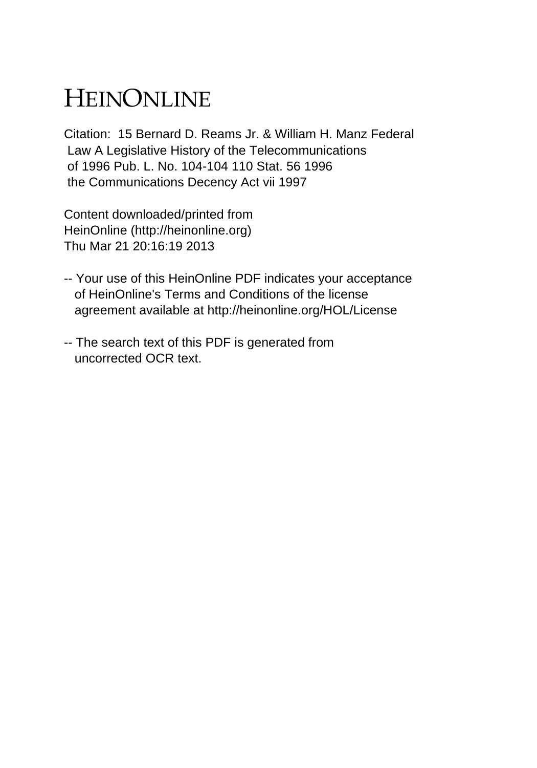# HEINONLINE

Citation: 15 Bernard D. Reams Jr. & William H. Manz Federal Law A Legislative History of the Telecommunications of 1996 Pub. L. No. 104-104 110 Stat. 56 1996 the Communications Decency Act vii 1997

Content downloaded/printed from HeinOnline (http://heinonline.org) Thu Mar 21 20:16:19 2013

- -- Your use of this HeinOnline PDF indicates your acceptance of HeinOnline's Terms and Conditions of the license agreement available at http://heinonline.org/HOL/License
- -- The search text of this PDF is generated from uncorrected OCR text.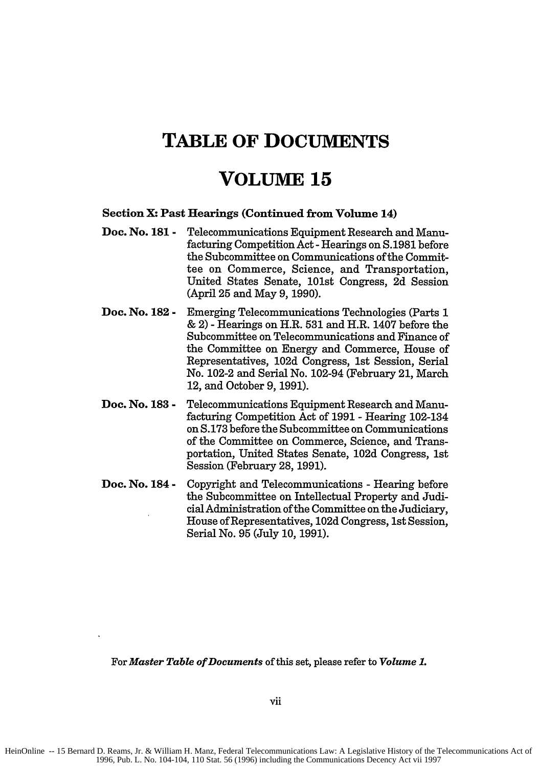### **TABLE OF DOCUMENTS**

### **VOLUME 15**

#### **Section X: Past Hearings (Continued from Volume 14)**

- **Doc. No. 181 -** Telecommunications Equipment Research and Manufacturing Competition Act - Hearings on **S.1981** before the Subcommittee on Communications of the Committee on Commerce, Science, and Transportation, United States Senate, 101st Congress, 2d Session (April 25 and May 9, 1990).
- **Doc. No. 182 -** Emerging Telecommunications Technologies (Parts **1** & 2) - Hearings on H.R. **531** and H.R. 1407 before the Subcommittee on Telecommunications and Finance of the Committee on Energy and Commerce, House of Representatives, 102d Congress, 1st Session, Serial No. 102-2 and Serial No. 102-94 (February 21, March 12, and October 9, 1991).
- **Doc. No. 183 -** Telecommunications Equipment Research and Manufacturing Competition Act of **1991** - Hearing 102-134 on S.173 before the Subcommittee on Communications of the Committee on Commerce, Science, and Transportation, United States Senate, 102d Congress, 1st Session (February 28, 1991).
- **Doc. No. 184 -** Copyright and Telecommunications - Hearing before the Subcommittee on Intellectual Property and Judicial Administration of the Committee on the Judiciary, House of Representatives, 102d Congress, 1st Session, Serial No. 95 (July 10, 1991).

For *Master Table of Documents* of this set, please refer to *Volume 1.*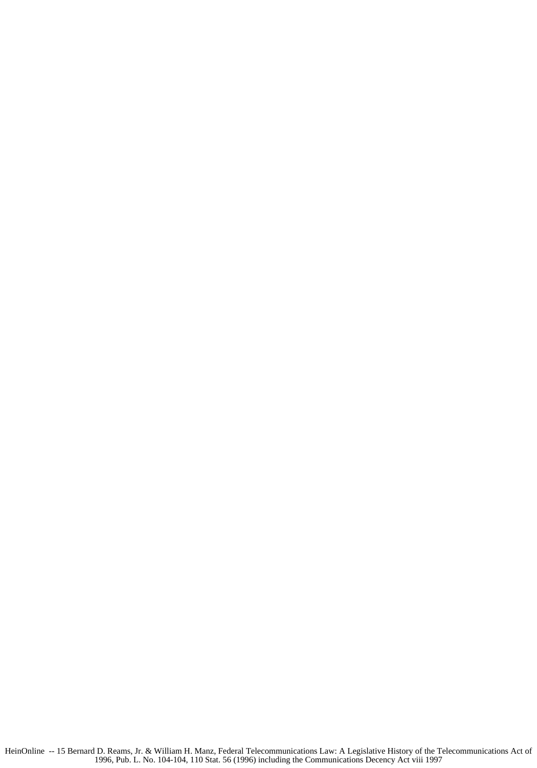HeinOnline -- 15 Bernard D. Reams, Jr. & William H. Manz, Federal Telecommunications Law: A Legislative History of the Telecommunications Act of 1996, Pub. L. No. 104-104, 110 Stat. 56 (1996) including the Communications Decency Act viii 1997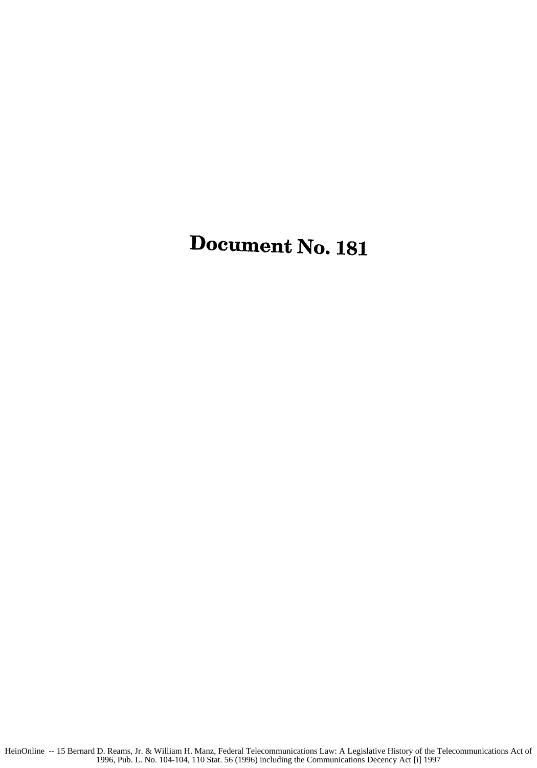## Document No. **181**